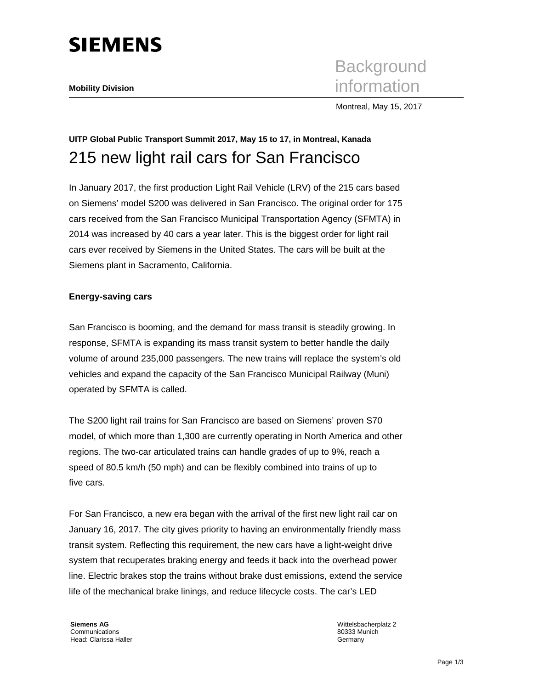

**Background Mobility Division** information

Montreal, May 15, 2017

# **UITP Global Public Transport Summit 2017, May 15 to 17, in Montreal, Kanada**  215 new light rail cars for San Francisco

In January 2017, the first production Light Rail Vehicle (LRV) of the 215 cars based on Siemens' model S200 was delivered in San Francisco. The original order for 175 cars received from the San Francisco Municipal Transportation Agency (SFMTA) in 2014 was increased by 40 cars a year later. This is the biggest order for light rail cars ever received by Siemens in the United States. The cars will be built at the Siemens plant in Sacramento, California.

## **Energy-saving cars**

San Francisco is booming, and the demand for mass transit is steadily growing. In response, SFMTA is expanding its mass transit system to better handle the daily volume of around 235,000 passengers. The new trains will replace the system's old vehicles and expand the capacity of the San Francisco Municipal Railway (Muni) operated by SFMTA is called.

The S200 light rail trains for San Francisco are based on Siemens' proven S70 model, of which more than 1,300 are currently operating in North America and other regions. The two-car articulated trains can handle grades of up to 9%, reach a speed of 80.5 km/h (50 mph) and can be flexibly combined into trains of up to five cars.

For San Francisco, a new era began with the arrival of the first new light rail car on January 16, 2017. The city gives priority to having an environmentally friendly mass transit system. Reflecting this requirement, the new cars have a light-weight drive system that recuperates braking energy and feeds it back into the overhead power line. Electric brakes stop the trains without brake dust emissions, extend the service life of the mechanical brake linings, and reduce lifecycle costs. The car's LED

**Siemens AG**  Communications Head: Clarissa Haller Wittelsbacherplatz 2 80333 Munich Germany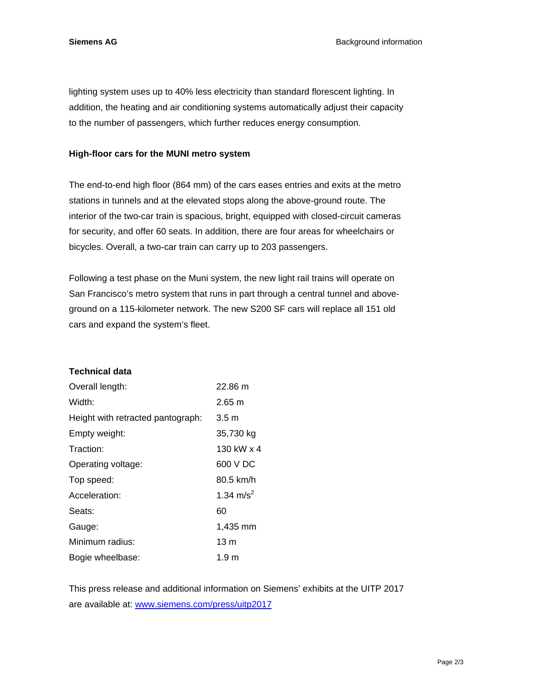lighting system uses up to 40% less electricity than standard florescent lighting. In addition, the heating and air conditioning systems automatically adjust their capacity to the number of passengers, which further reduces energy consumption.

## **High-floor cars for the MUNI metro system**

The end-to-end high floor (864 mm) of the cars eases entries and exits at the metro stations in tunnels and at the elevated stops along the above-ground route. The interior of the two-car train is spacious, bright, equipped with closed-circuit cameras for security, and offer 60 seats. In addition, there are four areas for wheelchairs or bicycles. Overall, a two-car train can carry up to 203 passengers.

Following a test phase on the Muni system, the new light rail trains will operate on San Francisco's metro system that runs in part through a central tunnel and aboveground on a 115-kilometer network. The new S200 SF cars will replace all 151 old cars and expand the system's fleet.

## **Technical data**

| Overall length:                   | 22.86 m               |
|-----------------------------------|-----------------------|
| Width:                            | $2.65 \text{ m}$      |
| Height with retracted pantograph: | $3.5 \text{ m}$       |
| Empty weight:                     | 35,730 kg             |
| Traction:                         | 130 kW x 4            |
| Operating voltage:                | 600 V DC              |
| Top speed:                        | 80.5 km/h             |
| Acceleration:                     | 1.34 m/s <sup>2</sup> |
| Seats:                            | 60                    |
| Gauge:                            | 1,435 mm              |
| Minimum radius:                   | 13 m                  |
| Bogie wheelbase:                  | 1.9 m                 |

This press release and additional information on Siemens' exhibits at the UITP 2017 are available at: www.siemens.com/press/uitp2017